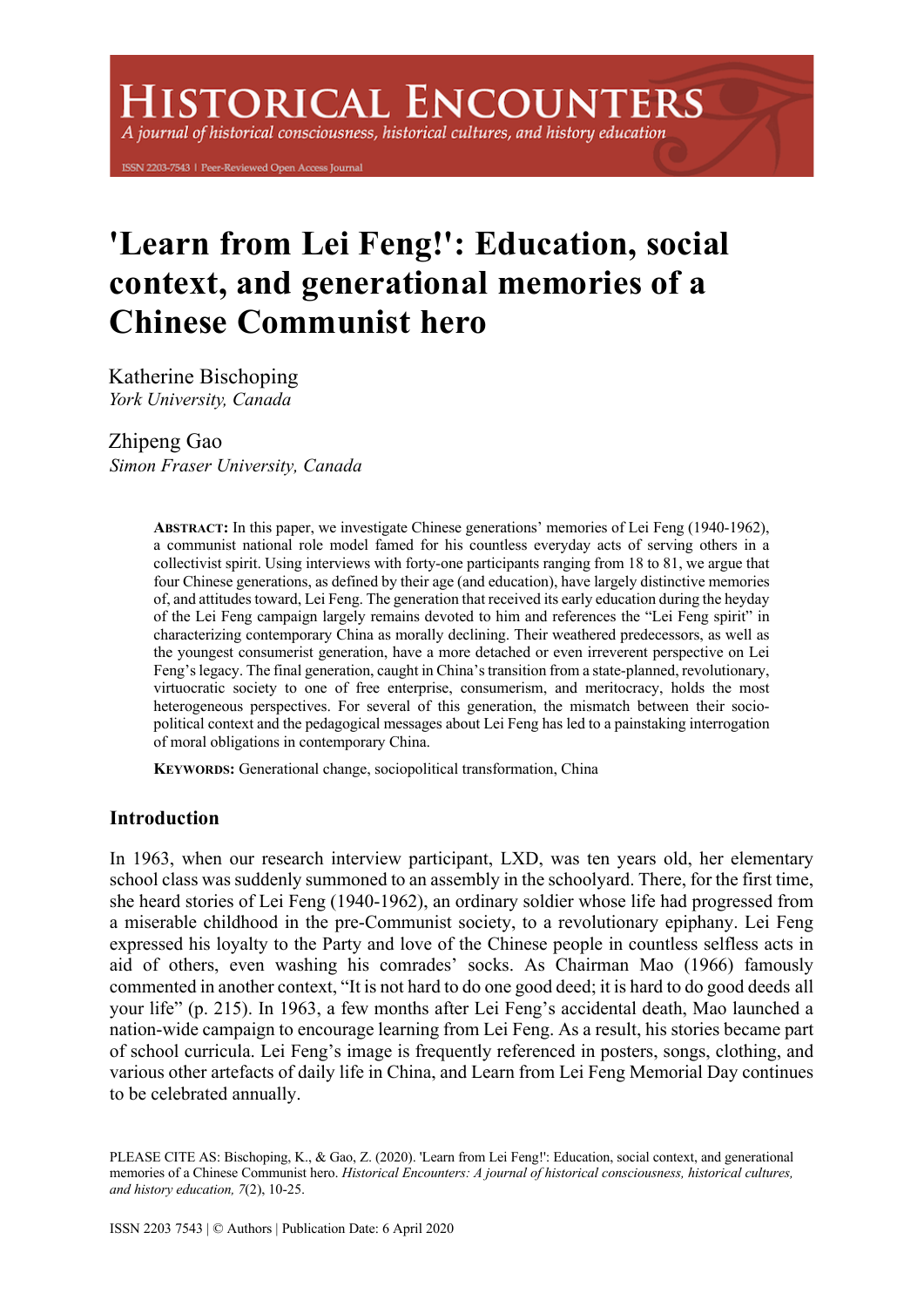# **ISTORICAL ENCOUNTERS**

A journal of historical consciousness, historical cultures, and history education

ISSN 2203-7543 | Peer-Reviewed Open Access Journal

# **'Learn from Lei Feng!': Education, social context, and generational memories of a Chinese Communist hero**

Katherine Bischoping *York University, Canada*

# Zhipeng Gao

*Simon Fraser University, Canada*

**ABSTRACT:** In this paper, we investigate Chinese generations' memories of Lei Feng (1940-1962), a communist national role model famed for his countless everyday acts of serving others in a collectivist spirit. Using interviews with forty-one participants ranging from 18 to 81, we argue that four Chinese generations, as defined by their age (and education), have largely distinctive memories of, and attitudes toward, Lei Feng. The generation that received its early education during the heyday of the Lei Feng campaign largely remains devoted to him and references the "Lei Feng spirit" in characterizing contemporary China as morally declining. Their weathered predecessors, as well as the youngest consumerist generation, have a more detached or even irreverent perspective on Lei Feng's legacy. The final generation, caught in China's transition from a state-planned, revolutionary, virtuocratic society to one of free enterprise, consumerism, and meritocracy, holds the most heterogeneous perspectives. For several of this generation, the mismatch between their sociopolitical context and the pedagogical messages about Lei Feng has led to a painstaking interrogation of moral obligations in contemporary China.

**KEYWORDS:** Generational change, sociopolitical transformation, China

# **Introduction**

In 1963, when our research interview participant, LXD, was ten years old, her elementary school class was suddenly summoned to an assembly in the schoolyard. There, for the first time, she heard stories of Lei Feng (1940-1962), an ordinary soldier whose life had progressed from a miserable childhood in the pre-Communist society, to a revolutionary epiphany. Lei Feng expressed his loyalty to the Party and love of the Chinese people in countless selfless acts in aid of others, even washing his comrades' socks. As Chairman Mao (1966) famously commented in another context, "It is not hard to do one good deed; it is hard to do good deeds all your life" (p. 215). In 1963, a few months after Lei Feng's accidental death, Mao launched a nation-wide campaign to encourage learning from Lei Feng. As a result, his stories became part of school curricula. Lei Feng's image is frequently referenced in posters, songs, clothing, and various other artefacts of daily life in China, and Learn from Lei Feng Memorial Day continues to be celebrated annually.

PLEASE CITE AS: Bischoping, K., & Gao, Z. (2020). 'Learn from Lei Feng!': Education, social context, and generational memories of a Chinese Communist hero. *Historical Encounters: A journal of historical consciousness, historical cultures, and history education, 7*(2), 10-25.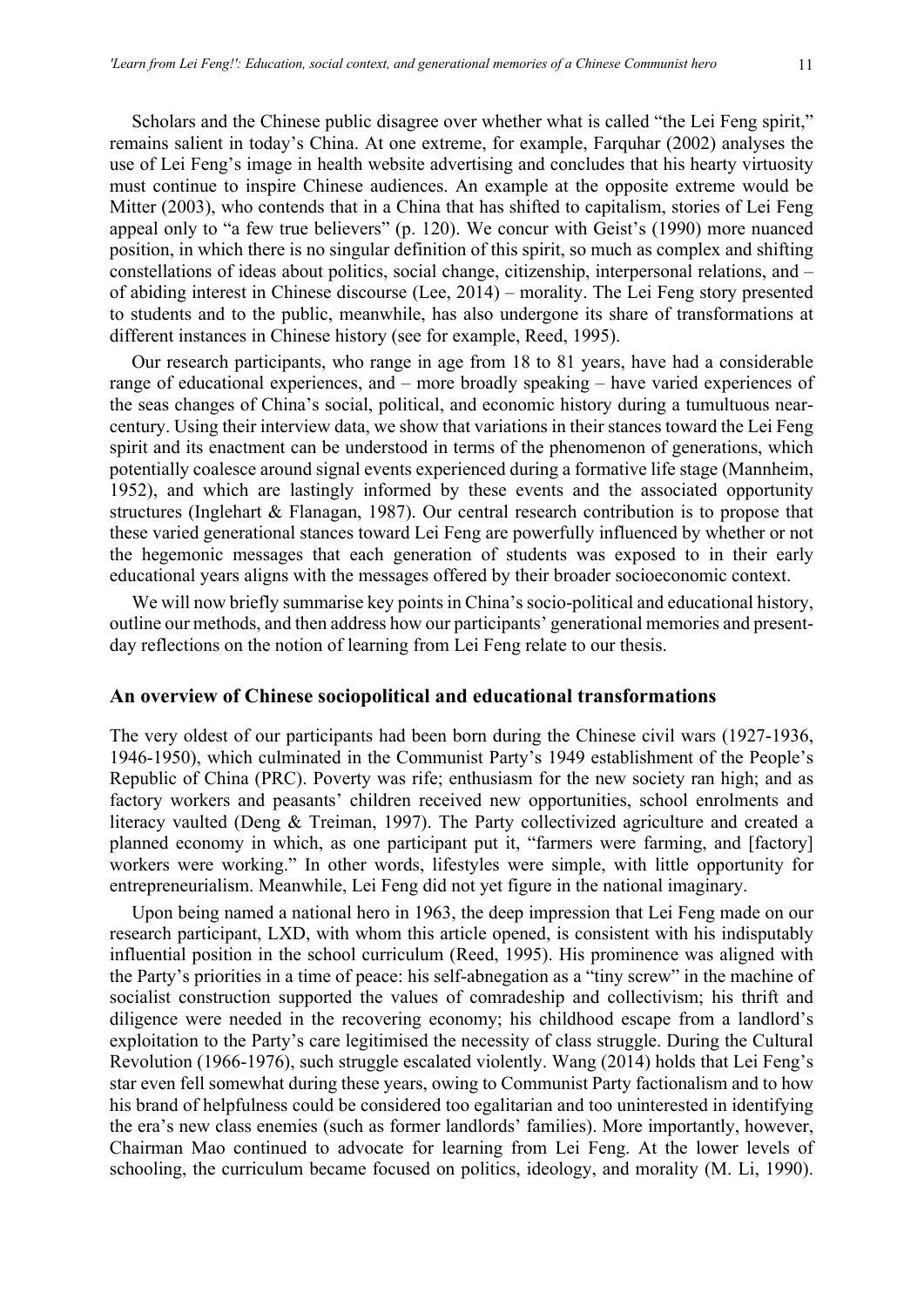Scholars and the Chinese public disagree over whether what is called "the Lei Feng spirit," remains salient in today's China. At one extreme, for example, Farquhar (2002) analyses the use of Lei Feng's image in health website advertising and concludes that his hearty virtuosity must continue to inspire Chinese audiences. An example at the opposite extreme would be Mitter (2003), who contends that in a China that has shifted to capitalism, stories of Lei Feng appeal only to "a few true believers" (p. 120). We concur with Geist's (1990) more nuanced position, in which there is no singular definition of this spirit, so much as complex and shifting constellations of ideas about politics, social change, citizenship, interpersonal relations, and – of abiding interest in Chinese discourse (Lee, 2014) – morality. The Lei Feng story presented to students and to the public, meanwhile, has also undergone its share of transformations at different instances in Chinese history (see for example, Reed, 1995).

Our research participants, who range in age from 18 to 81 years, have had a considerable range of educational experiences, and – more broadly speaking – have varied experiences of the seas changes of China's social, political, and economic history during a tumultuous nearcentury. Using their interview data, we show that variations in their stances toward the Lei Feng spirit and its enactment can be understood in terms of the phenomenon of generations, which potentially coalesce around signal events experienced during a formative life stage (Mannheim, 1952), and which are lastingly informed by these events and the associated opportunity structures (Inglehart & Flanagan, 1987). Our central research contribution is to propose that these varied generational stances toward Lei Feng are powerfully influenced by whether or not the hegemonic messages that each generation of students was exposed to in their early educational years aligns with the messages offered by their broader socioeconomic context.

We will now briefly summarise key points in China's socio-political and educational history, outline our methods, and then address how our participants' generational memories and presentday reflections on the notion of learning from Lei Feng relate to our thesis.

#### **An overview of Chinese sociopolitical and educational transformations**

The very oldest of our participants had been born during the Chinese civil wars (1927-1936, 1946-1950), which culminated in the Communist Party's 1949 establishment of the People's Republic of China (PRC). Poverty was rife; enthusiasm for the new society ran high; and as factory workers and peasants' children received new opportunities, school enrolments and literacy vaulted (Deng & Treiman, 1997). The Party collectivized agriculture and created a planned economy in which, as one participant put it, "farmers were farming, and [factory] workers were working." In other words, lifestyles were simple, with little opportunity for entrepreneurialism. Meanwhile, Lei Feng did not yet figure in the national imaginary.

Upon being named a national hero in 1963, the deep impression that Lei Feng made on our research participant, LXD, with whom this article opened, is consistent with his indisputably influential position in the school curriculum (Reed, 1995). His prominence was aligned with the Party's priorities in a time of peace: his self-abnegation as a "tiny screw" in the machine of socialist construction supported the values of comradeship and collectivism; his thrift and diligence were needed in the recovering economy; his childhood escape from a landlord's exploitation to the Party's care legitimised the necessity of class struggle. During the Cultural Revolution (1966-1976), such struggle escalated violently. Wang (2014) holds that Lei Feng's star even fell somewhat during these years, owing to Communist Party factionalism and to how his brand of helpfulness could be considered too egalitarian and too uninterested in identifying the era's new class enemies (such as former landlords' families). More importantly, however, Chairman Mao continued to advocate for learning from Lei Feng. At the lower levels of schooling, the curriculum became focused on politics, ideology, and morality (M. Li, 1990).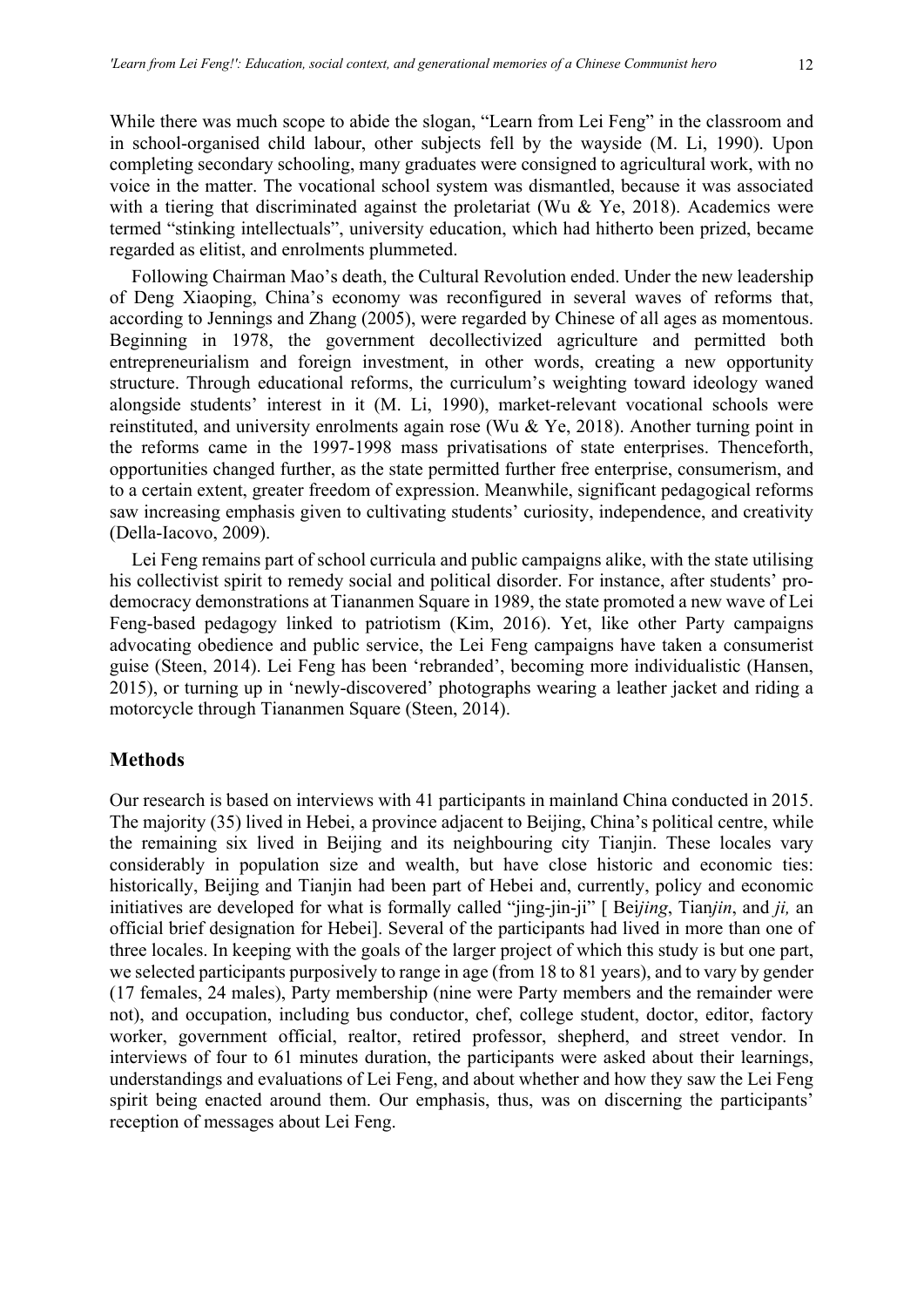While there was much scope to abide the slogan, "Learn from Lei Feng" in the classroom and in school-organised child labour, other subjects fell by the wayside (M. Li, 1990). Upon completing secondary schooling, many graduates were consigned to agricultural work, with no voice in the matter. The vocational school system was dismantled, because it was associated with a tiering that discriminated against the proletariat (Wu & Ye, 2018). Academics were termed "stinking intellectuals", university education, which had hitherto been prized, became regarded as elitist, and enrolments plummeted.

Following Chairman Mao's death, the Cultural Revolution ended. Under the new leadership of Deng Xiaoping, China's economy was reconfigured in several waves of reforms that, according to Jennings and Zhang (2005), were regarded by Chinese of all ages as momentous. Beginning in 1978, the government decollectivized agriculture and permitted both entrepreneurialism and foreign investment, in other words, creating a new opportunity structure. Through educational reforms, the curriculum's weighting toward ideology waned alongside students' interest in it (M. Li, 1990), market-relevant vocational schools were reinstituted, and university enrolments again rose (Wu & Ye, 2018). Another turning point in the reforms came in the 1997-1998 mass privatisations of state enterprises. Thenceforth, opportunities changed further, as the state permitted further free enterprise, consumerism, and to a certain extent, greater freedom of expression. Meanwhile, significant pedagogical reforms saw increasing emphasis given to cultivating students' curiosity, independence, and creativity (Della-Iacovo, 2009).

Lei Feng remains part of school curricula and public campaigns alike, with the state utilising his collectivist spirit to remedy social and political disorder. For instance, after students' prodemocracy demonstrations at Tiananmen Square in 1989, the state promoted a new wave of Lei Feng-based pedagogy linked to patriotism (Kim, 2016). Yet, like other Party campaigns advocating obedience and public service, the Lei Feng campaigns have taken a consumerist guise (Steen, 2014). Lei Feng has been 'rebranded', becoming more individualistic (Hansen, 2015), or turning up in 'newly-discovered' photographs wearing a leather jacket and riding a motorcycle through Tiananmen Square (Steen, 2014).

## **Methods**

Our research is based on interviews with 41 participants in mainland China conducted in 2015. The majority (35) lived in Hebei, a province adjacent to Beijing, China's political centre, while the remaining six lived in Beijing and its neighbouring city Tianjin. These locales vary considerably in population size and wealth, but have close historic and economic ties: historically, Beijing and Tianjin had been part of Hebei and, currently, policy and economic initiatives are developed for what is formally called "jing-jin-ji" [ Bei*jing*, Tian*jin*, and *ji,* an official brief designation for Hebei]. Several of the participants had lived in more than one of three locales. In keeping with the goals of the larger project of which this study is but one part, we selected participants purposively to range in age (from 18 to 81 years), and to vary by gender (17 females, 24 males), Party membership (nine were Party members and the remainder were not), and occupation, including bus conductor, chef, college student, doctor, editor, factory worker, government official, realtor, retired professor, shepherd, and street vendor. In interviews of four to 61 minutes duration, the participants were asked about their learnings, understandings and evaluations of Lei Feng, and about whether and how they saw the Lei Feng spirit being enacted around them. Our emphasis, thus, was on discerning the participants' reception of messages about Lei Feng.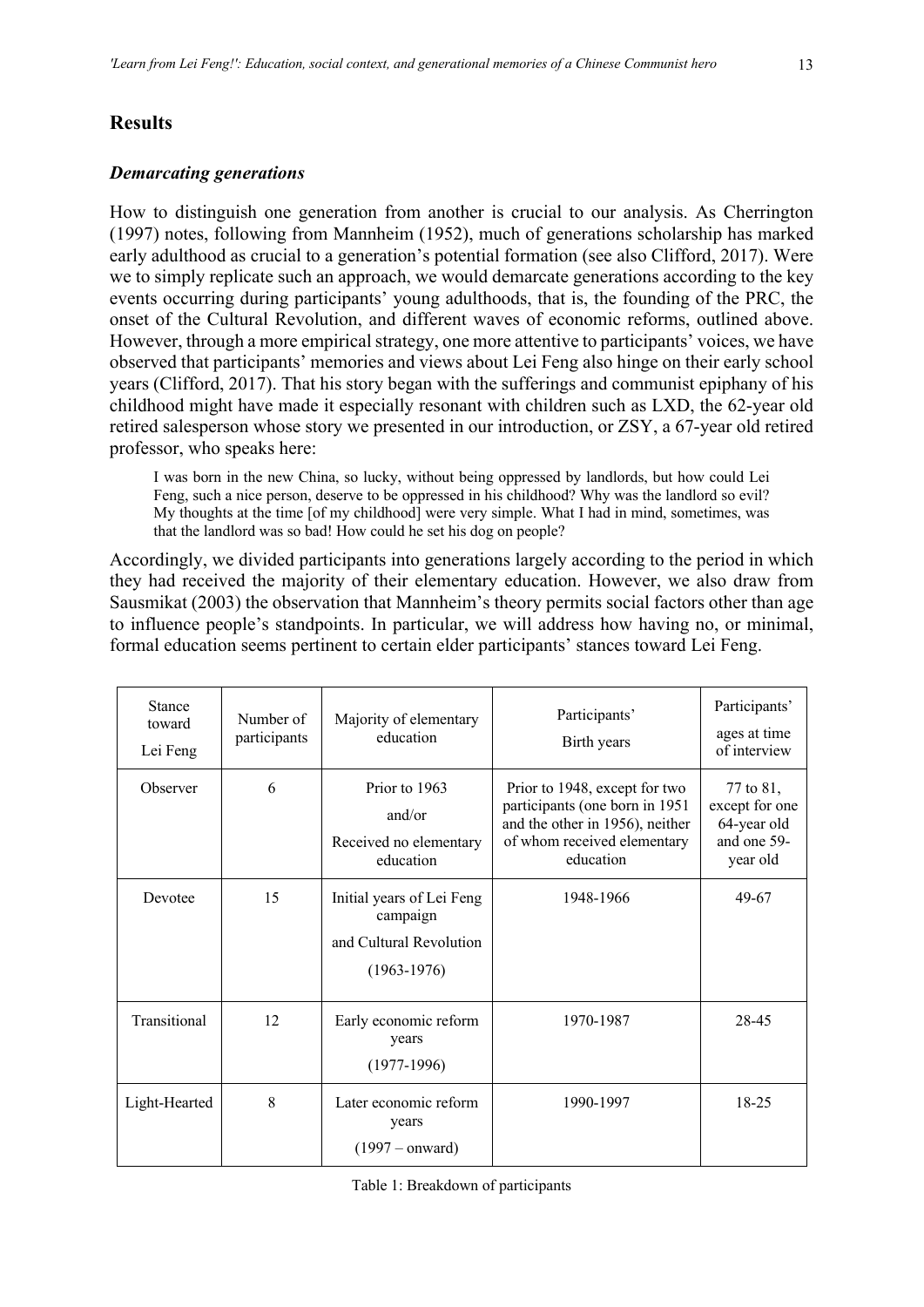# **Results**

## *Demarcating generations*

How to distinguish one generation from another is crucial to our analysis. As Cherrington (1997) notes, following from Mannheim (1952), much of generations scholarship has marked early adulthood as crucial to a generation's potential formation (see also Clifford, 2017). Were we to simply replicate such an approach, we would demarcate generations according to the key events occurring during participants' young adulthoods, that is, the founding of the PRC, the onset of the Cultural Revolution, and different waves of economic reforms, outlined above. However, through a more empirical strategy, one more attentive to participants' voices, we have observed that participants' memories and views about Lei Feng also hinge on their early school years (Clifford, 2017). That his story began with the sufferings and communist epiphany of his childhood might have made it especially resonant with children such as LXD, the 62-year old retired salesperson whose story we presented in our introduction, or ZSY, a 67-year old retired professor, who speaks here:

I was born in the new China, so lucky, without being oppressed by landlords, but how could Lei Feng, such a nice person, deserve to be oppressed in his childhood? Why was the landlord so evil? My thoughts at the time [of my childhood] were very simple. What I had in mind, sometimes, was that the landlord was so bad! How could he set his dog on people?

Accordingly, we divided participants into generations largely according to the period in which they had received the majority of their elementary education. However, we also draw from Sausmikat (2003) the observation that Mannheim's theory permits social factors other than age to influence people's standpoints. In particular, we will address how having no, or minimal, formal education seems pertinent to certain elder participants' stances toward Lei Feng.

| <b>Stance</b><br>toward<br>Lei Feng | Number of<br>participants | Majority of elementary<br>education                                               | Participants'<br>Birth years                                                                                                                   | Participants'<br>ages at time<br>of interview                         |
|-------------------------------------|---------------------------|-----------------------------------------------------------------------------------|------------------------------------------------------------------------------------------------------------------------------------------------|-----------------------------------------------------------------------|
| Observer                            | 6                         | Prior to 1963<br>and/or<br>Received no elementary<br>education                    | Prior to 1948, except for two<br>participants (one born in 1951<br>and the other in 1956), neither<br>of whom received elementary<br>education | 77 to 81,<br>except for one<br>64-year old<br>and one 59-<br>year old |
| Devotee                             | 15                        | Initial years of Lei Feng<br>campaign<br>and Cultural Revolution<br>$(1963-1976)$ | 1948-1966                                                                                                                                      | 49-67                                                                 |
| Transitional                        | 12                        | Early economic reform<br>years<br>$(1977-1996)$                                   | 1970-1987                                                                                                                                      | 28-45                                                                 |
| Light-Hearted                       | 8                         | Later economic reform<br>years<br>$(1997 - onward)$                               | 1990-1997                                                                                                                                      | $18 - 25$                                                             |

| Table 1: Breakdown of participants |  |
|------------------------------------|--|
|------------------------------------|--|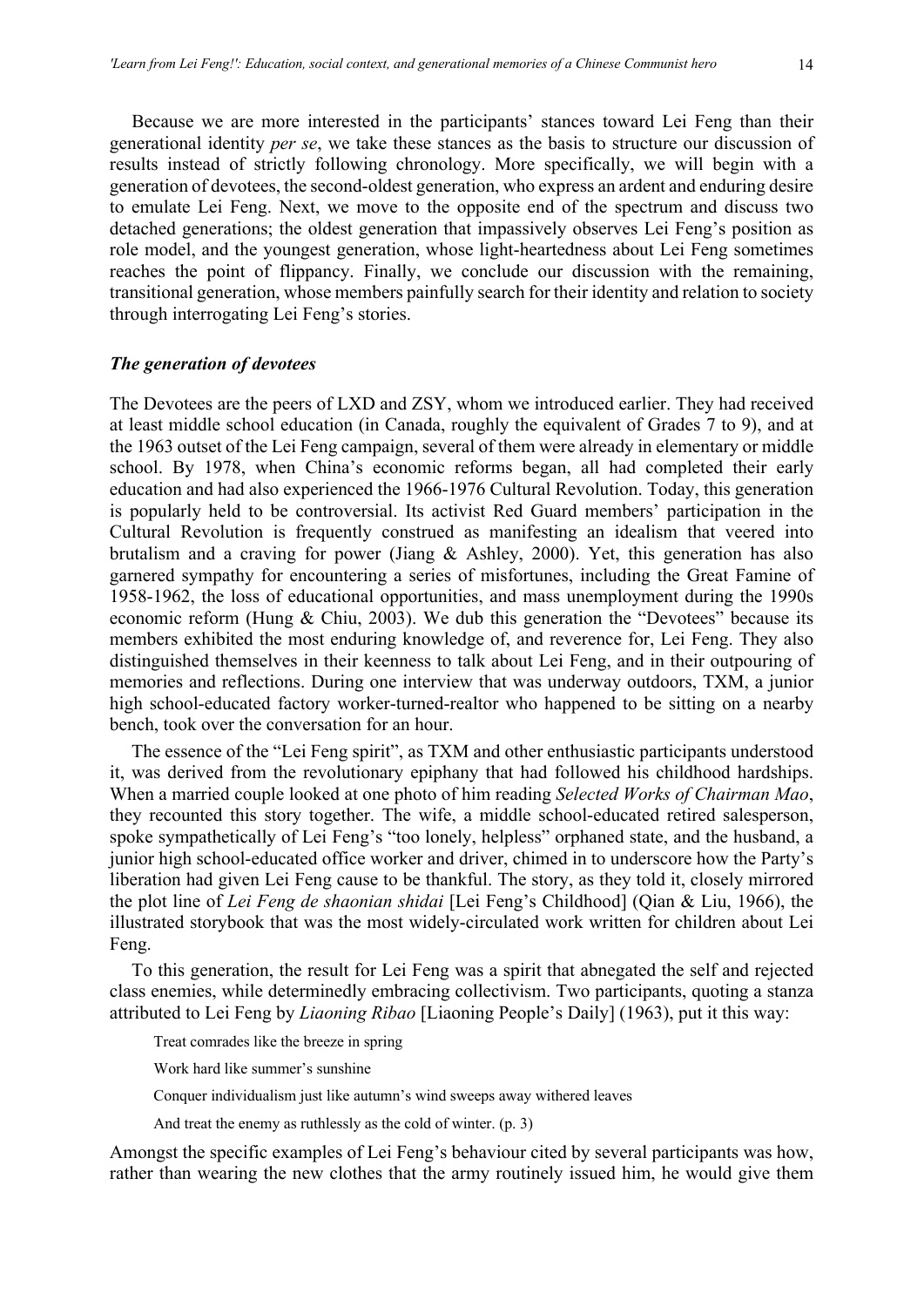Because we are more interested in the participants' stances toward Lei Feng than their generational identity *per se*, we take these stances as the basis to structure our discussion of results instead of strictly following chronology. More specifically, we will begin with a generation of devotees, the second-oldest generation, who express an ardent and enduring desire to emulate Lei Feng. Next, we move to the opposite end of the spectrum and discuss two detached generations; the oldest generation that impassively observes Lei Feng's position as role model, and the youngest generation, whose light-heartedness about Lei Feng sometimes

reaches the point of flippancy. Finally, we conclude our discussion with the remaining, transitional generation, whose members painfully search for their identity and relation to society through interrogating Lei Feng's stories.

#### *The generation of devotees*

The Devotees are the peers of LXD and ZSY, whom we introduced earlier. They had received at least middle school education (in Canada, roughly the equivalent of Grades 7 to 9), and at the 1963 outset of the Lei Feng campaign, several of them were already in elementary or middle school. By 1978, when China's economic reforms began, all had completed their early education and had also experienced the 1966-1976 Cultural Revolution. Today, this generation is popularly held to be controversial. Its activist Red Guard members' participation in the Cultural Revolution is frequently construed as manifesting an idealism that veered into brutalism and a craving for power (Jiang & Ashley, 2000). Yet, this generation has also garnered sympathy for encountering a series of misfortunes, including the Great Famine of 1958-1962, the loss of educational opportunities, and mass unemployment during the 1990s economic reform (Hung & Chiu, 2003). We dub this generation the "Devotees" because its members exhibited the most enduring knowledge of, and reverence for, Lei Feng. They also distinguished themselves in their keenness to talk about Lei Feng, and in their outpouring of memories and reflections. During one interview that was underway outdoors, TXM, a junior high school-educated factory worker-turned-realtor who happened to be sitting on a nearby bench, took over the conversation for an hour.

The essence of the "Lei Feng spirit", as TXM and other enthusiastic participants understood it, was derived from the revolutionary epiphany that had followed his childhood hardships. When a married couple looked at one photo of him reading *Selected Works of Chairman Mao*, they recounted this story together. The wife, a middle school-educated retired salesperson, spoke sympathetically of Lei Feng's "too lonely, helpless" orphaned state, and the husband, a junior high school-educated office worker and driver, chimed in to underscore how the Party's liberation had given Lei Feng cause to be thankful. The story, as they told it, closely mirrored the plot line of *Lei Feng de shaonian shidai* [Lei Feng's Childhood] (Qian & Liu, 1966), the illustrated storybook that was the most widely-circulated work written for children about Lei Feng.

To this generation, the result for Lei Feng was a spirit that abnegated the self and rejected class enemies, while determinedly embracing collectivism. Two participants, quoting a stanza attributed to Lei Feng by *Liaoning Ribao* [Liaoning People's Daily] (1963), put it this way:

Treat comrades like the breeze in spring

Work hard like summer's sunshine

Conquer individualism just like autumn's wind sweeps away withered leaves

And treat the enemy as ruthlessly as the cold of winter. (p. 3)

Amongst the specific examples of Lei Feng's behaviour cited by several participants was how, rather than wearing the new clothes that the army routinely issued him, he would give them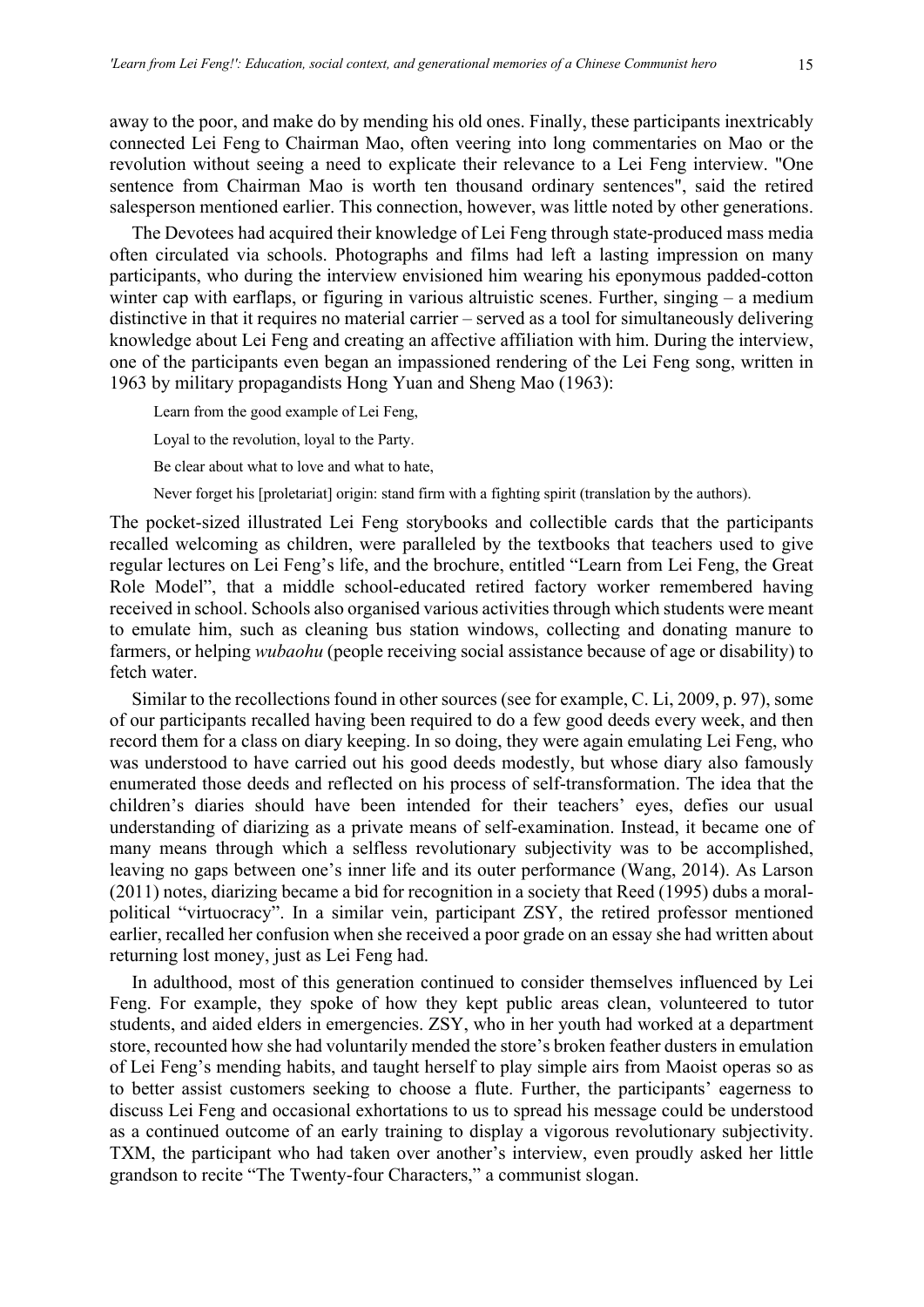away to the poor, and make do by mending his old ones. Finally, these participants inextricably connected Lei Feng to Chairman Mao, often veering into long commentaries on Mao or the revolution without seeing a need to explicate their relevance to a Lei Feng interview. "One sentence from Chairman Mao is worth ten thousand ordinary sentences", said the retired salesperson mentioned earlier. This connection, however, was little noted by other generations.

The Devotees had acquired their knowledge of Lei Feng through state-produced mass media often circulated via schools. Photographs and films had left a lasting impression on many participants, who during the interview envisioned him wearing his eponymous padded-cotton winter cap with earflaps, or figuring in various altruistic scenes. Further, singing – a medium distinctive in that it requires no material carrier – served as a tool for simultaneously delivering knowledge about Lei Feng and creating an affective affiliation with him. During the interview, one of the participants even began an impassioned rendering of the Lei Feng song, written in 1963 by military propagandists Hong Yuan and Sheng Mao (1963):

Learn from the good example of Lei Feng, Loyal to the revolution, loyal to the Party. Be clear about what to love and what to hate,

Never forget his [proletariat] origin: stand firm with a fighting spirit (translation by the authors).

The pocket-sized illustrated Lei Feng storybooks and collectible cards that the participants recalled welcoming as children, were paralleled by the textbooks that teachers used to give regular lectures on Lei Feng's life, and the brochure, entitled "Learn from Lei Feng, the Great Role Model", that a middle school-educated retired factory worker remembered having received in school. Schools also organised various activities through which students were meant to emulate him, such as cleaning bus station windows, collecting and donating manure to farmers, or helping *wubaohu* (people receiving social assistance because of age or disability) to fetch water.

Similar to the recollections found in other sources (see for example, C. Li, 2009, p. 97), some of our participants recalled having been required to do a few good deeds every week, and then record them for a class on diary keeping. In so doing, they were again emulating Lei Feng, who was understood to have carried out his good deeds modestly, but whose diary also famously enumerated those deeds and reflected on his process of self-transformation. The idea that the children's diaries should have been intended for their teachers' eyes, defies our usual understanding of diarizing as a private means of self-examination. Instead, it became one of many means through which a selfless revolutionary subjectivity was to be accomplished, leaving no gaps between one's inner life and its outer performance (Wang, 2014). As Larson (2011) notes, diarizing became a bid for recognition in a society that Reed (1995) dubs a moralpolitical "virtuocracy". In a similar vein, participant ZSY, the retired professor mentioned earlier, recalled her confusion when she received a poor grade on an essay she had written about returning lost money, just as Lei Feng had.

In adulthood, most of this generation continued to consider themselves influenced by Lei Feng. For example, they spoke of how they kept public areas clean, volunteered to tutor students, and aided elders in emergencies. ZSY, who in her youth had worked at a department store, recounted how she had voluntarily mended the store's broken feather dusters in emulation of Lei Feng's mending habits, and taught herself to play simple airs from Maoist operas so as to better assist customers seeking to choose a flute. Further, the participants' eagerness to discuss Lei Feng and occasional exhortations to us to spread his message could be understood as a continued outcome of an early training to display a vigorous revolutionary subjectivity. TXM, the participant who had taken over another's interview, even proudly asked her little grandson to recite "The Twenty-four Characters," a communist slogan.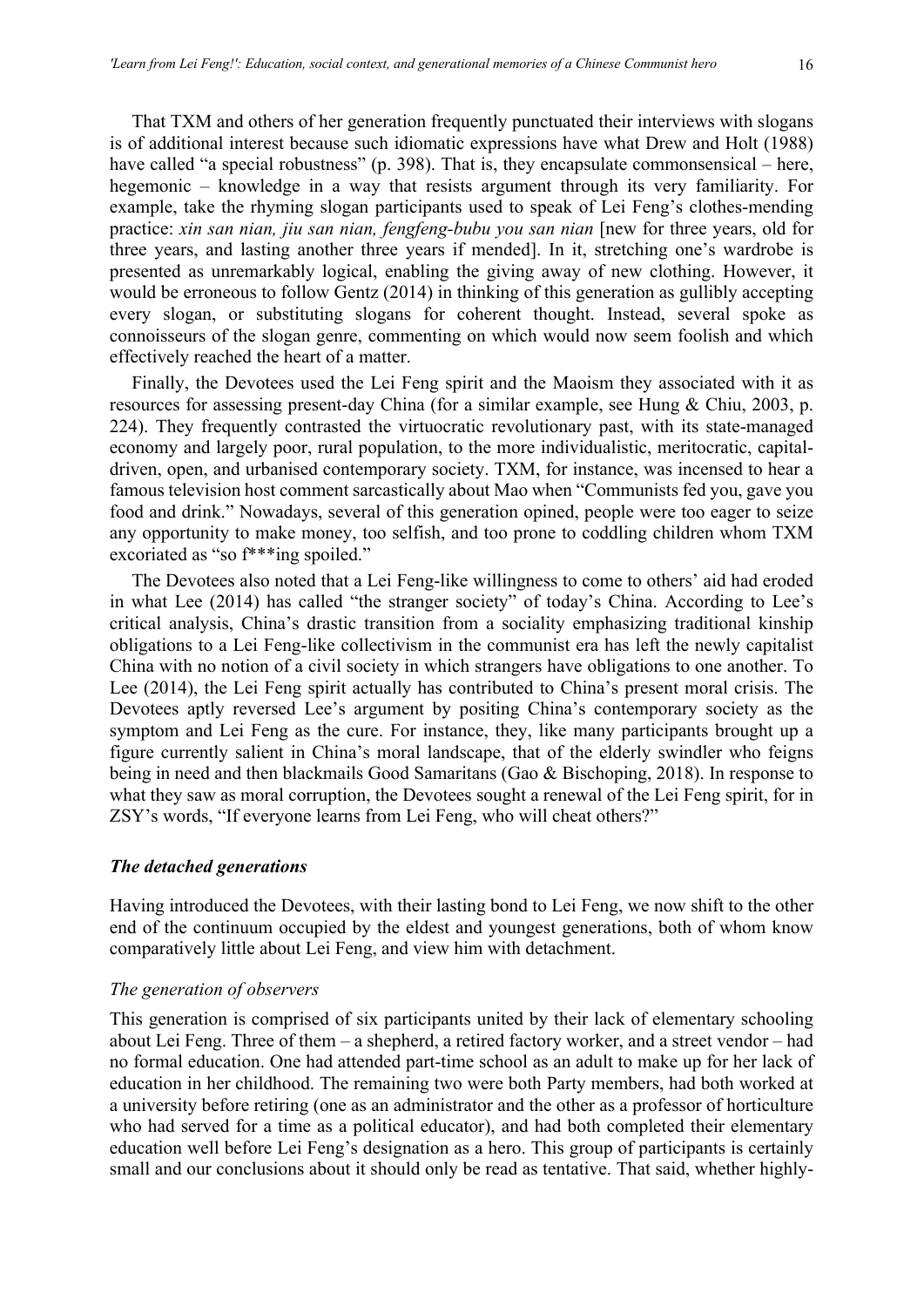That TXM and others of her generation frequently punctuated their interviews with slogans is of additional interest because such idiomatic expressions have what Drew and Holt (1988) have called "a special robustness" (p. 398). That is, they encapsulate commonsensical – here, hegemonic – knowledge in a way that resists argument through its very familiarity. For example, take the rhyming slogan participants used to speak of Lei Feng's clothes-mending practice: *xin san nian, jiu san nian, fengfeng-bubu you san nian* [new for three years, old for three years, and lasting another three years if mended]. In it, stretching one's wardrobe is presented as unremarkably logical, enabling the giving away of new clothing. However, it would be erroneous to follow Gentz (2014) in thinking of this generation as gullibly accepting every slogan, or substituting slogans for coherent thought. Instead, several spoke as connoisseurs of the slogan genre, commenting on which would now seem foolish and which effectively reached the heart of a matter.

Finally, the Devotees used the Lei Feng spirit and the Maoism they associated with it as resources for assessing present-day China (for a similar example, see Hung & Chiu, 2003, p. 224). They frequently contrasted the virtuocratic revolutionary past, with its state-managed economy and largely poor, rural population, to the more individualistic, meritocratic, capitaldriven, open, and urbanised contemporary society. TXM, for instance, was incensed to hear a famous television host comment sarcastically about Mao when "Communists fed you, gave you food and drink." Nowadays, several of this generation opined, people were too eager to seize any opportunity to make money, too selfish, and too prone to coddling children whom TXM excoriated as "so f\*\*\*ing spoiled."

The Devotees also noted that a Lei Feng-like willingness to come to others' aid had eroded in what Lee (2014) has called "the stranger society" of today's China. According to Lee's critical analysis, China's drastic transition from a sociality emphasizing traditional kinship obligations to a Lei Feng-like collectivism in the communist era has left the newly capitalist China with no notion of a civil society in which strangers have obligations to one another. To Lee (2014), the Lei Feng spirit actually has contributed to China's present moral crisis. The Devotees aptly reversed Lee's argument by positing China's contemporary society as the symptom and Lei Feng as the cure. For instance, they, like many participants brought up a figure currently salient in China's moral landscape, that of the elderly swindler who feigns being in need and then blackmails Good Samaritans (Gao & Bischoping, 2018). In response to what they saw as moral corruption, the Devotees sought a renewal of the Lei Feng spirit, for in ZSY's words, "If everyone learns from Lei Feng, who will cheat others?"

## *The detached generations*

Having introduced the Devotees, with their lasting bond to Lei Feng, we now shift to the other end of the continuum occupied by the eldest and youngest generations, both of whom know comparatively little about Lei Feng, and view him with detachment.

#### *The generation of observers*

This generation is comprised of six participants united by their lack of elementary schooling about Lei Feng. Three of them – a shepherd, a retired factory worker, and a street vendor – had no formal education. One had attended part-time school as an adult to make up for her lack of education in her childhood. The remaining two were both Party members, had both worked at a university before retiring (one as an administrator and the other as a professor of horticulture who had served for a time as a political educator), and had both completed their elementary education well before Lei Feng's designation as a hero. This group of participants is certainly small and our conclusions about it should only be read as tentative. That said, whether highly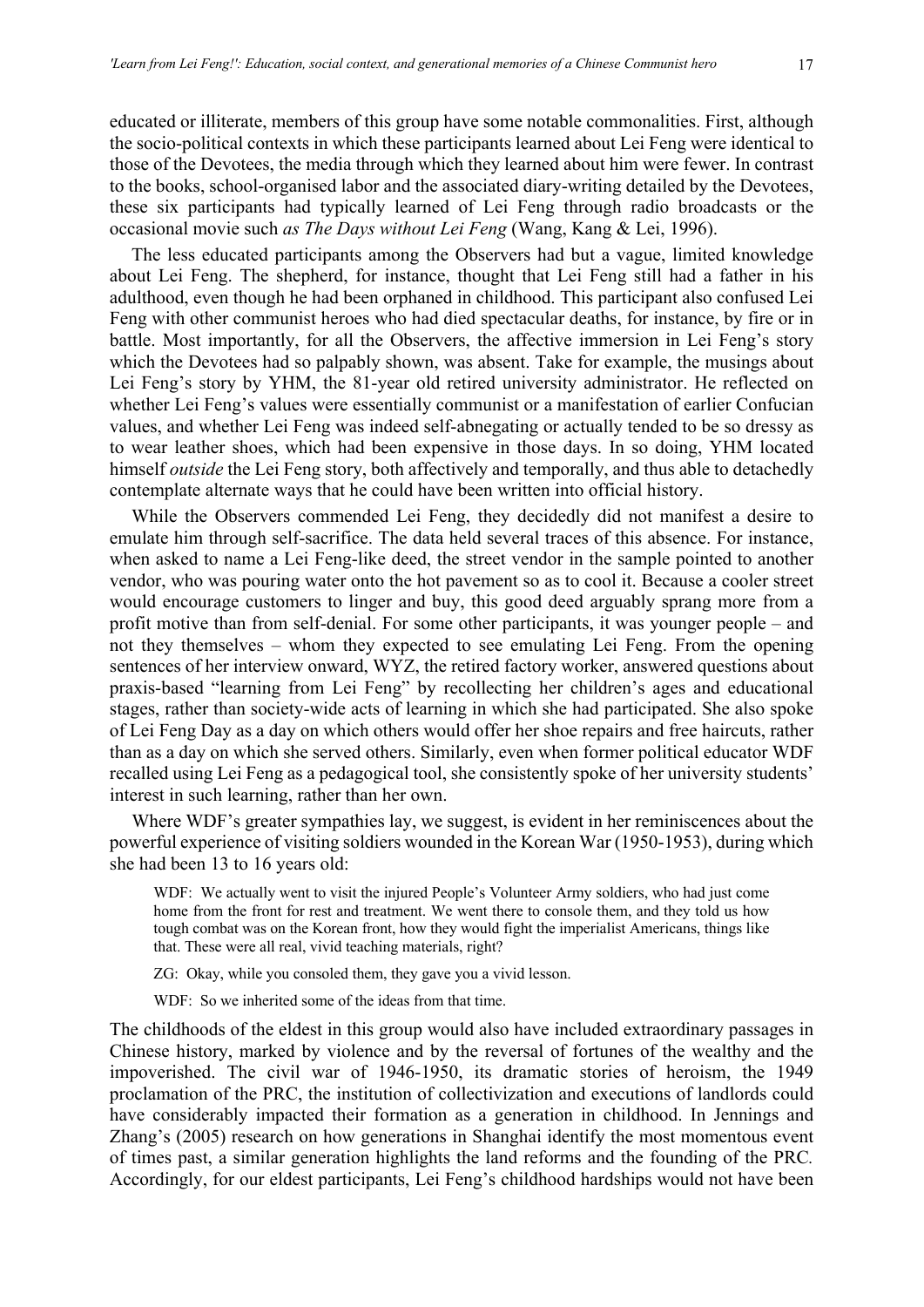educated or illiterate, members of this group have some notable commonalities. First, although the socio-political contexts in which these participants learned about Lei Feng were identical to those of the Devotees, the media through which they learned about him were fewer. In contrast to the books, school-organised labor and the associated diary-writing detailed by the Devotees, these six participants had typically learned of Lei Feng through radio broadcasts or the occasional movie such *as The Days without Lei Feng* (Wang, Kang & Lei, 1996).

The less educated participants among the Observers had but a vague, limited knowledge about Lei Feng. The shepherd, for instance, thought that Lei Feng still had a father in his adulthood, even though he had been orphaned in childhood. This participant also confused Lei Feng with other communist heroes who had died spectacular deaths, for instance, by fire or in battle. Most importantly, for all the Observers, the affective immersion in Lei Feng's story which the Devotees had so palpably shown, was absent. Take for example, the musings about Lei Feng's story by YHM, the 81-year old retired university administrator. He reflected on whether Lei Feng's values were essentially communist or a manifestation of earlier Confucian values, and whether Lei Feng was indeed self-abnegating or actually tended to be so dressy as to wear leather shoes, which had been expensive in those days. In so doing, YHM located himself *outside* the Lei Feng story, both affectively and temporally, and thus able to detachedly contemplate alternate ways that he could have been written into official history.

While the Observers commended Lei Feng, they decidedly did not manifest a desire to emulate him through self-sacrifice. The data held several traces of this absence. For instance, when asked to name a Lei Feng-like deed, the street vendor in the sample pointed to another vendor, who was pouring water onto the hot pavement so as to cool it. Because a cooler street would encourage customers to linger and buy, this good deed arguably sprang more from a profit motive than from self-denial. For some other participants, it was younger people – and not they themselves – whom they expected to see emulating Lei Feng. From the opening sentences of her interview onward, WYZ, the retired factory worker, answered questions about praxis-based "learning from Lei Feng" by recollecting her children's ages and educational stages, rather than society-wide acts of learning in which she had participated. She also spoke of Lei Feng Day as a day on which others would offer her shoe repairs and free haircuts, rather than as a day on which she served others. Similarly, even when former political educator WDF recalled using Lei Feng as a pedagogical tool, she consistently spoke of her university students' interest in such learning, rather than her own.

Where WDF's greater sympathies lay, we suggest, is evident in her reminiscences about the powerful experience of visiting soldiers wounded in the Korean War (1950-1953), during which she had been 13 to 16 years old:

WDF: We actually went to visit the injured People's Volunteer Army soldiers, who had just come home from the front for rest and treatment. We went there to console them, and they told us how tough combat was on the Korean front, how they would fight the imperialist Americans, things like that. These were all real, vivid teaching materials, right?

ZG: Okay, while you consoled them, they gave you a vivid lesson.

WDF: So we inherited some of the ideas from that time.

The childhoods of the eldest in this group would also have included extraordinary passages in Chinese history, marked by violence and by the reversal of fortunes of the wealthy and the impoverished. The civil war of 1946-1950, its dramatic stories of heroism, the 1949 proclamation of the PRC, the institution of collectivization and executions of landlords could have considerably impacted their formation as a generation in childhood. In Jennings and Zhang's (2005) research on how generations in Shanghai identify the most momentous event of times past, a similar generation highlights the land reforms and the founding of the PRC*.* Accordingly, for our eldest participants, Lei Feng's childhood hardships would not have been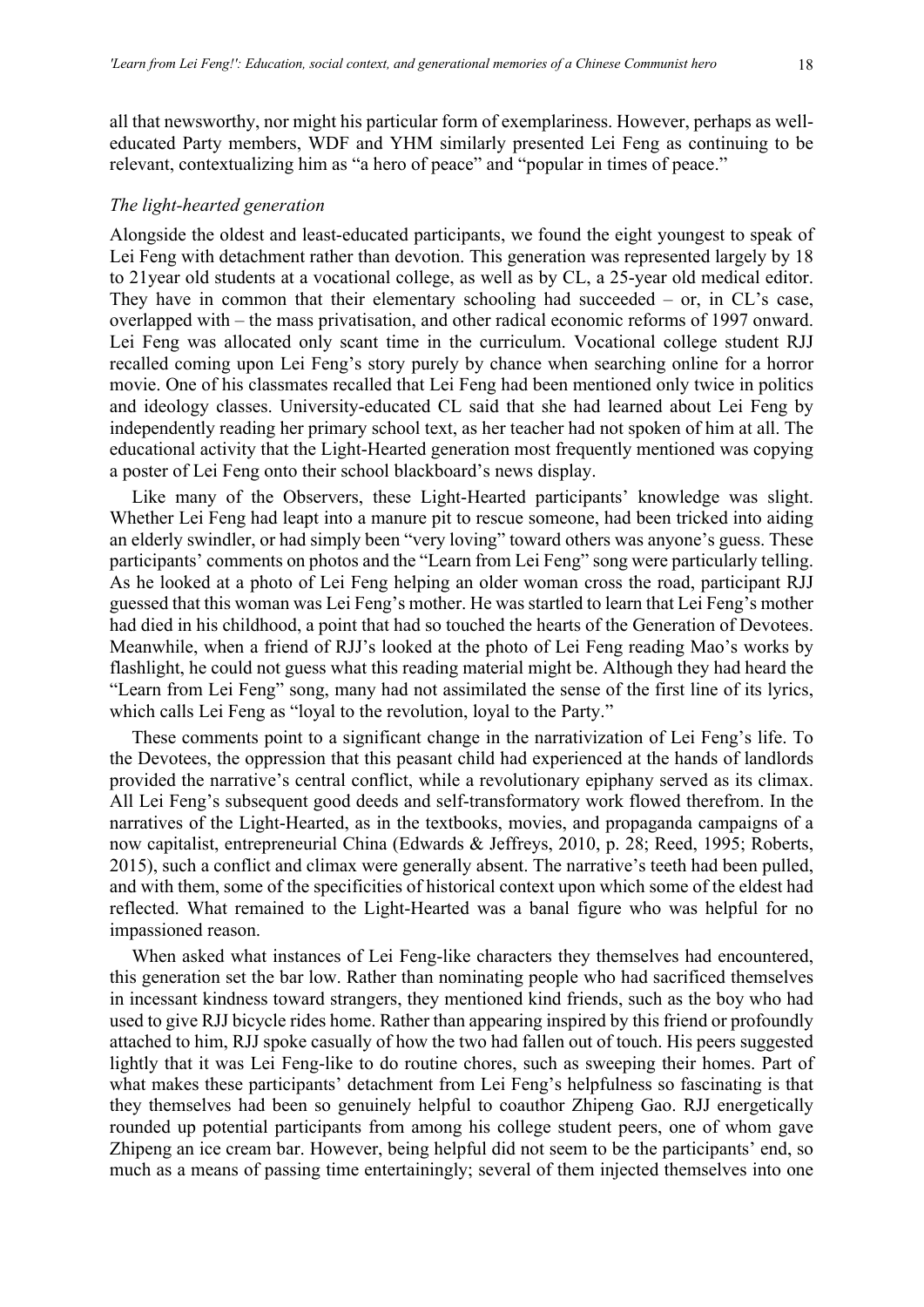all that newsworthy, nor might his particular form of exemplariness. However, perhaps as welleducated Party members, WDF and YHM similarly presented Lei Feng as continuing to be relevant, contextualizing him as "a hero of peace" and "popular in times of peace."

#### *The light-hearted generation*

Alongside the oldest and least-educated participants, we found the eight youngest to speak of Lei Feng with detachment rather than devotion. This generation was represented largely by 18 to 21year old students at a vocational college, as well as by CL, a 25-year old medical editor. They have in common that their elementary schooling had succeeded – or, in CL's case, overlapped with – the mass privatisation, and other radical economic reforms of 1997 onward. Lei Feng was allocated only scant time in the curriculum. Vocational college student RJJ recalled coming upon Lei Feng's story purely by chance when searching online for a horror movie. One of his classmates recalled that Lei Feng had been mentioned only twice in politics and ideology classes. University-educated CL said that she had learned about Lei Feng by independently reading her primary school text, as her teacher had not spoken of him at all. The educational activity that the Light-Hearted generation most frequently mentioned was copying a poster of Lei Feng onto their school blackboard's news display.

Like many of the Observers, these Light-Hearted participants' knowledge was slight. Whether Lei Feng had leapt into a manure pit to rescue someone, had been tricked into aiding an elderly swindler, or had simply been "very loving" toward others was anyone's guess. These participants' comments on photos and the "Learn from Lei Feng" song were particularly telling. As he looked at a photo of Lei Feng helping an older woman cross the road, participant RJJ guessed that this woman was Lei Feng's mother. He was startled to learn that Lei Feng's mother had died in his childhood, a point that had so touched the hearts of the Generation of Devotees. Meanwhile, when a friend of RJJ's looked at the photo of Lei Feng reading Mao's works by flashlight, he could not guess what this reading material might be. Although they had heard the "Learn from Lei Feng" song, many had not assimilated the sense of the first line of its lyrics, which calls Lei Feng as "loyal to the revolution, loyal to the Party."

These comments point to a significant change in the narrativization of Lei Feng's life. To the Devotees, the oppression that this peasant child had experienced at the hands of landlords provided the narrative's central conflict, while a revolutionary epiphany served as its climax. All Lei Feng's subsequent good deeds and self-transformatory work flowed therefrom. In the narratives of the Light-Hearted, as in the textbooks, movies, and propaganda campaigns of a now capitalist, entrepreneurial China (Edwards & Jeffreys, 2010, p. 28; Reed, 1995; Roberts, 2015), such a conflict and climax were generally absent. The narrative's teeth had been pulled, and with them, some of the specificities of historical context upon which some of the eldest had reflected. What remained to the Light-Hearted was a banal figure who was helpful for no impassioned reason.

When asked what instances of Lei Feng-like characters they themselves had encountered, this generation set the bar low. Rather than nominating people who had sacrificed themselves in incessant kindness toward strangers, they mentioned kind friends, such as the boy who had used to give RJJ bicycle rides home. Rather than appearing inspired by this friend or profoundly attached to him, RJJ spoke casually of how the two had fallen out of touch. His peers suggested lightly that it was Lei Feng-like to do routine chores, such as sweeping their homes. Part of what makes these participants' detachment from Lei Feng's helpfulness so fascinating is that they themselves had been so genuinely helpful to coauthor Zhipeng Gao. RJJ energetically rounded up potential participants from among his college student peers, one of whom gave Zhipeng an ice cream bar. However, being helpful did not seem to be the participants' end, so much as a means of passing time entertainingly; several of them injected themselves into one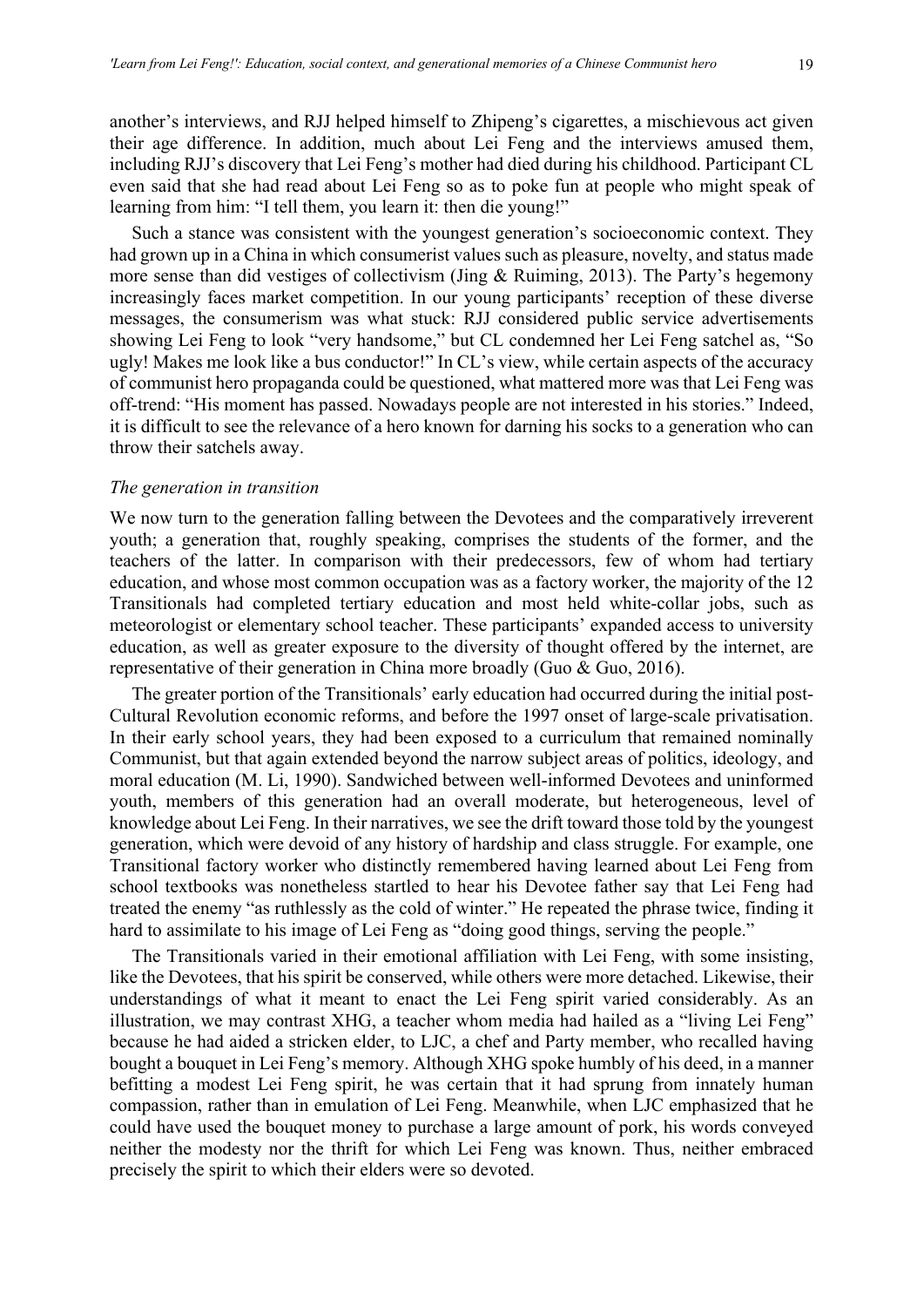another's interviews, and RJJ helped himself to Zhipeng's cigarettes, a mischievous act given their age difference. In addition, much about Lei Feng and the interviews amused them, including RJJ's discovery that Lei Feng's mother had died during his childhood. Participant CL even said that she had read about Lei Feng so as to poke fun at people who might speak of learning from him: "I tell them, you learn it: then die young!"

Such a stance was consistent with the youngest generation's socioeconomic context. They had grown up in a China in which consumerist values such as pleasure, novelty, and status made more sense than did vestiges of collectivism (Jing & Ruiming, 2013). The Party's hegemony increasingly faces market competition. In our young participants' reception of these diverse messages, the consumerism was what stuck: RJJ considered public service advertisements showing Lei Feng to look "very handsome," but CL condemned her Lei Feng satchel as, "So ugly! Makes me look like a bus conductor!" In CL's view, while certain aspects of the accuracy of communist hero propaganda could be questioned, what mattered more was that Lei Feng was off-trend: "His moment has passed. Nowadays people are not interested in his stories." Indeed, it is difficult to see the relevance of a hero known for darning his socks to a generation who can throw their satchels away.

#### *The generation in transition*

We now turn to the generation falling between the Devotees and the comparatively irreverent youth; a generation that, roughly speaking, comprises the students of the former, and the teachers of the latter. In comparison with their predecessors, few of whom had tertiary education, and whose most common occupation was as a factory worker, the majority of the 12 Transitionals had completed tertiary education and most held white-collar jobs, such as meteorologist or elementary school teacher. These participants' expanded access to university education, as well as greater exposure to the diversity of thought offered by the internet, are representative of their generation in China more broadly (Guo & Guo, 2016).

The greater portion of the Transitionals' early education had occurred during the initial post-Cultural Revolution economic reforms, and before the 1997 onset of large-scale privatisation. In their early school years, they had been exposed to a curriculum that remained nominally Communist, but that again extended beyond the narrow subject areas of politics, ideology, and moral education (M. Li, 1990). Sandwiched between well-informed Devotees and uninformed youth, members of this generation had an overall moderate, but heterogeneous, level of knowledge about Lei Feng. In their narratives, we see the drift toward those told by the youngest generation, which were devoid of any history of hardship and class struggle. For example, one Transitional factory worker who distinctly remembered having learned about Lei Feng from school textbooks was nonetheless startled to hear his Devotee father say that Lei Feng had treated the enemy "as ruthlessly as the cold of winter." He repeated the phrase twice, finding it hard to assimilate to his image of Lei Feng as "doing good things, serving the people."

The Transitionals varied in their emotional affiliation with Lei Feng, with some insisting, like the Devotees, that his spirit be conserved, while others were more detached. Likewise, their understandings of what it meant to enact the Lei Feng spirit varied considerably. As an illustration, we may contrast XHG, a teacher whom media had hailed as a "living Lei Feng" because he had aided a stricken elder, to LJC, a chef and Party member, who recalled having bought a bouquet in Lei Feng's memory. Although XHG spoke humbly of his deed, in a manner befitting a modest Lei Feng spirit, he was certain that it had sprung from innately human compassion, rather than in emulation of Lei Feng. Meanwhile, when LJC emphasized that he could have used the bouquet money to purchase a large amount of pork, his words conveyed neither the modesty nor the thrift for which Lei Feng was known. Thus, neither embraced precisely the spirit to which their elders were so devoted.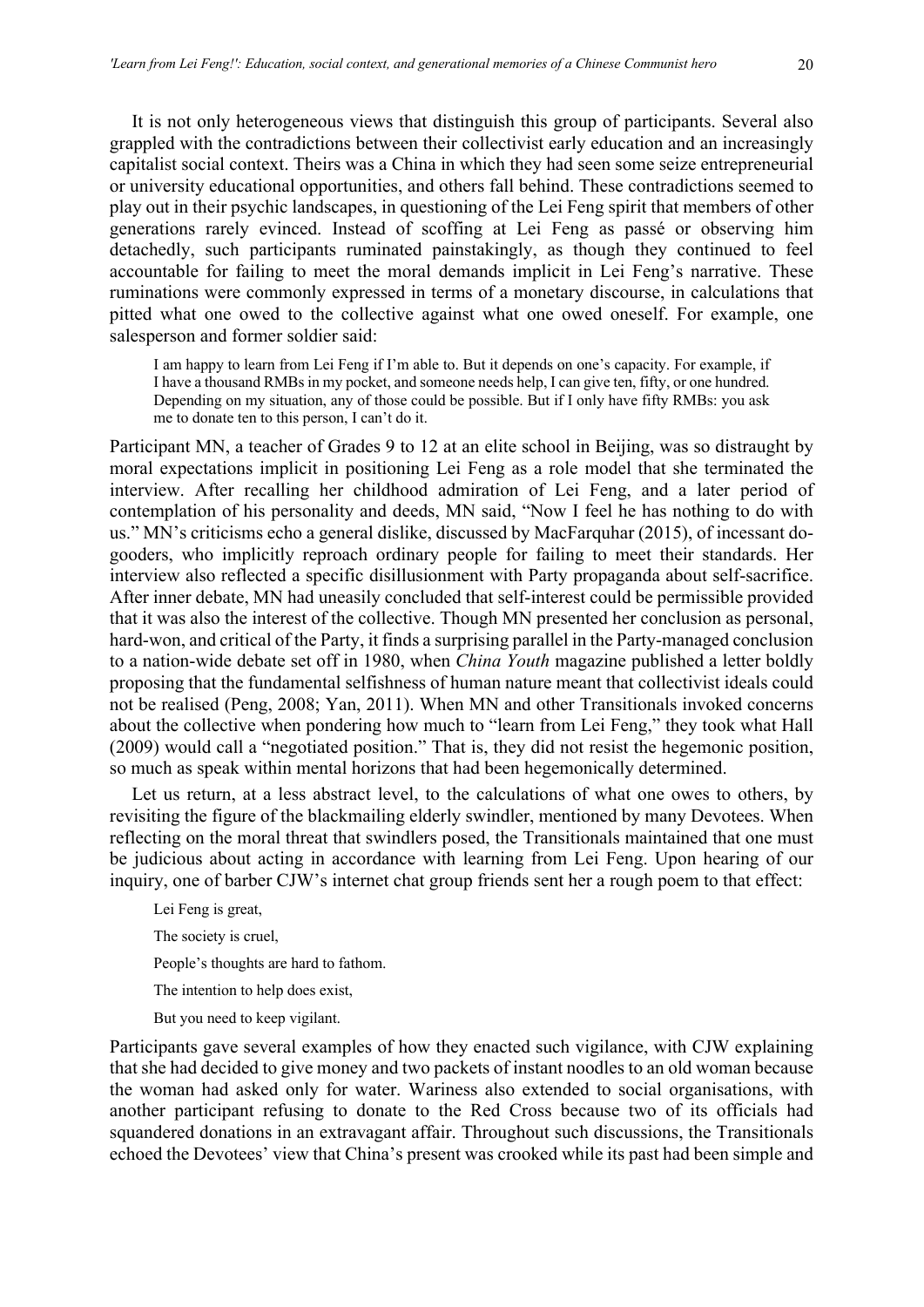It is not only heterogeneous views that distinguish this group of participants. Several also grappled with the contradictions between their collectivist early education and an increasingly capitalist social context. Theirs was a China in which they had seen some seize entrepreneurial or university educational opportunities, and others fall behind. These contradictions seemed to play out in their psychic landscapes, in questioning of the Lei Feng spirit that members of other generations rarely evinced. Instead of scoffing at Lei Feng as passé or observing him detachedly, such participants ruminated painstakingly, as though they continued to feel accountable for failing to meet the moral demands implicit in Lei Feng's narrative. These ruminations were commonly expressed in terms of a monetary discourse, in calculations that pitted what one owed to the collective against what one owed oneself. For example, one salesperson and former soldier said:

I am happy to learn from Lei Feng if I'm able to. But it depends on one's capacity. For example, if I have a thousand RMBs in my pocket, and someone needs help, I can give ten, fifty, or one hundred. Depending on my situation, any of those could be possible. But if I only have fifty RMBs: you ask me to donate ten to this person, I can't do it.

Participant MN, a teacher of Grades 9 to 12 at an elite school in Beijing, was so distraught by moral expectations implicit in positioning Lei Feng as a role model that she terminated the interview. After recalling her childhood admiration of Lei Feng, and a later period of contemplation of his personality and deeds, MN said, "Now I feel he has nothing to do with us." MN's criticisms echo a general dislike, discussed by MacFarquhar (2015), of incessant dogooders, who implicitly reproach ordinary people for failing to meet their standards. Her interview also reflected a specific disillusionment with Party propaganda about self-sacrifice. After inner debate, MN had uneasily concluded that self-interest could be permissible provided that it was also the interest of the collective. Though MN presented her conclusion as personal, hard-won, and critical of the Party, it finds a surprising parallel in the Party-managed conclusion to a nation-wide debate set off in 1980, when *China Youth* magazine published a letter boldly proposing that the fundamental selfishness of human nature meant that collectivist ideals could not be realised (Peng, 2008; Yan, 2011). When MN and other Transitionals invoked concerns about the collective when pondering how much to "learn from Lei Feng," they took what Hall (2009) would call a "negotiated position." That is, they did not resist the hegemonic position, so much as speak within mental horizons that had been hegemonically determined.

Let us return, at a less abstract level, to the calculations of what one owes to others, by revisiting the figure of the blackmailing elderly swindler, mentioned by many Devotees. When reflecting on the moral threat that swindlers posed, the Transitionals maintained that one must be judicious about acting in accordance with learning from Lei Feng. Upon hearing of our inquiry, one of barber CJW's internet chat group friends sent her a rough poem to that effect:

Lei Feng is great, The society is cruel, People's thoughts are hard to fathom. The intention to help does exist, But you need to keep vigilant.

Participants gave several examples of how they enacted such vigilance, with CJW explaining that she had decided to give money and two packets of instant noodles to an old woman because the woman had asked only for water. Wariness also extended to social organisations, with another participant refusing to donate to the Red Cross because two of its officials had squandered donations in an extravagant affair. Throughout such discussions, the Transitionals echoed the Devotees' view that China's present was crooked while its past had been simple and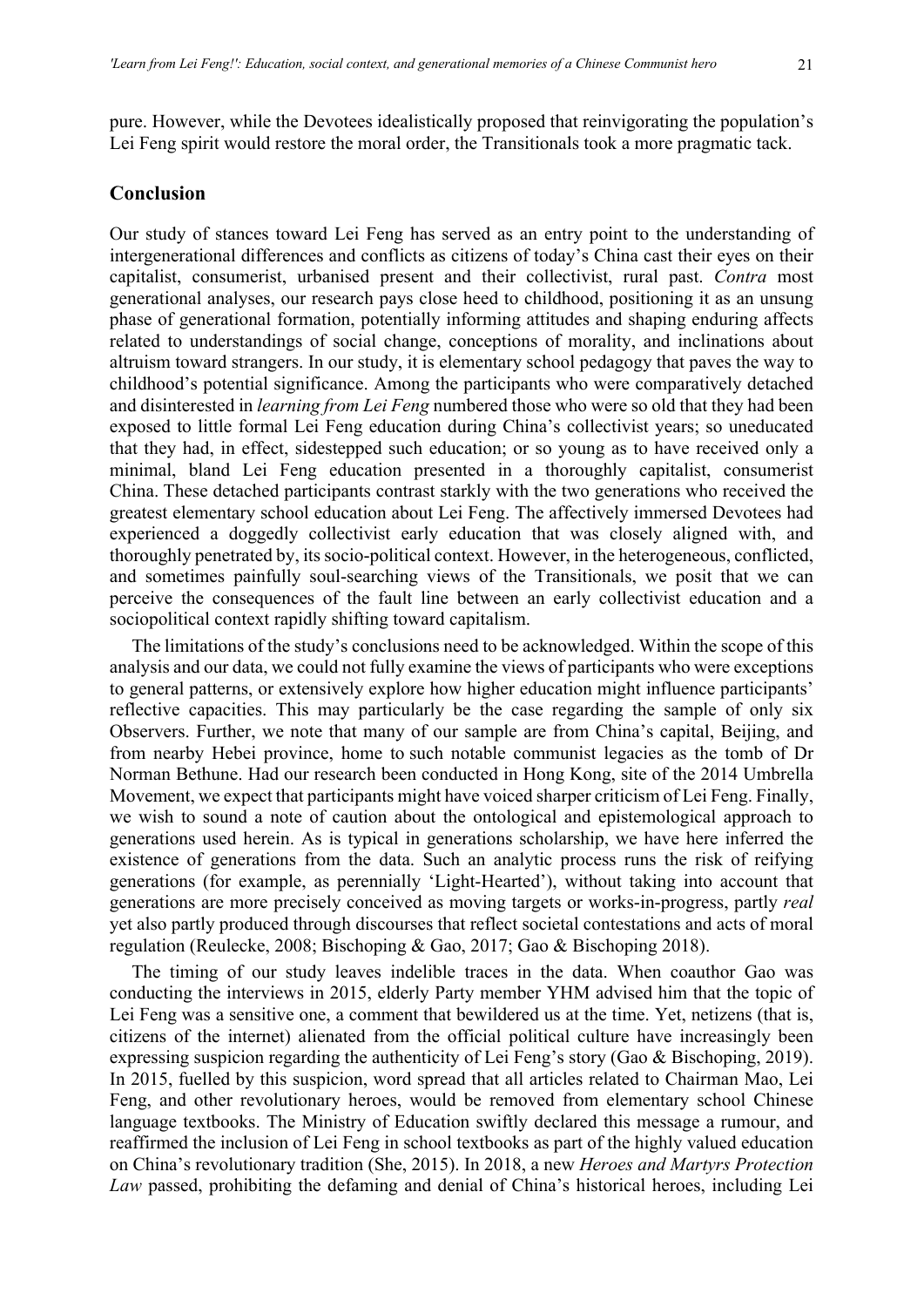pure. However, while the Devotees idealistically proposed that reinvigorating the population's Lei Feng spirit would restore the moral order, the Transitionals took a more pragmatic tack.

#### **Conclusion**

Our study of stances toward Lei Feng has served as an entry point to the understanding of intergenerational differences and conflicts as citizens of today's China cast their eyes on their capitalist, consumerist, urbanised present and their collectivist, rural past. *Contra* most generational analyses, our research pays close heed to childhood, positioning it as an unsung phase of generational formation, potentially informing attitudes and shaping enduring affects related to understandings of social change, conceptions of morality, and inclinations about altruism toward strangers. In our study, it is elementary school pedagogy that paves the way to childhood's potential significance. Among the participants who were comparatively detached and disinterested in *learning from Lei Feng* numbered those who were so old that they had been exposed to little formal Lei Feng education during China's collectivist years; so uneducated that they had, in effect, sidestepped such education; or so young as to have received only a minimal, bland Lei Feng education presented in a thoroughly capitalist, consumerist China. These detached participants contrast starkly with the two generations who received the greatest elementary school education about Lei Feng. The affectively immersed Devotees had experienced a doggedly collectivist early education that was closely aligned with, and thoroughly penetrated by, its socio-political context. However, in the heterogeneous, conflicted, and sometimes painfully soul-searching views of the Transitionals, we posit that we can perceive the consequences of the fault line between an early collectivist education and a sociopolitical context rapidly shifting toward capitalism.

The limitations of the study's conclusions need to be acknowledged. Within the scope of this analysis and our data, we could not fully examine the views of participants who were exceptions to general patterns, or extensively explore how higher education might influence participants' reflective capacities. This may particularly be the case regarding the sample of only six Observers. Further, we note that many of our sample are from China's capital, Beijing, and from nearby Hebei province, home to such notable communist legacies as the tomb of Dr Norman Bethune. Had our research been conducted in Hong Kong, site of the 2014 Umbrella Movement, we expect that participants might have voiced sharper criticism of Lei Feng. Finally, we wish to sound a note of caution about the ontological and epistemological approach to generations used herein. As is typical in generations scholarship, we have here inferred the existence of generations from the data. Such an analytic process runs the risk of reifying generations (for example, as perennially 'Light-Hearted'), without taking into account that generations are more precisely conceived as moving targets or works-in-progress, partly *real* yet also partly produced through discourses that reflect societal contestations and acts of moral regulation (Reulecke, 2008; Bischoping & Gao, 2017; Gao & Bischoping 2018).

The timing of our study leaves indelible traces in the data. When coauthor Gao was conducting the interviews in 2015, elderly Party member YHM advised him that the topic of Lei Feng was a sensitive one, a comment that bewildered us at the time. Yet, netizens (that is, citizens of the internet) alienated from the official political culture have increasingly been expressing suspicion regarding the authenticity of Lei Feng's story (Gao & Bischoping, 2019). In 2015, fuelled by this suspicion, word spread that all articles related to Chairman Mao, Lei Feng, and other revolutionary heroes, would be removed from elementary school Chinese language textbooks. The Ministry of Education swiftly declared this message a rumour, and reaffirmed the inclusion of Lei Feng in school textbooks as part of the highly valued education on China's revolutionary tradition (She, 2015). In 2018, a new *Heroes and Martyrs Protection Law* passed, prohibiting the defaming and denial of China's historical heroes, including Lei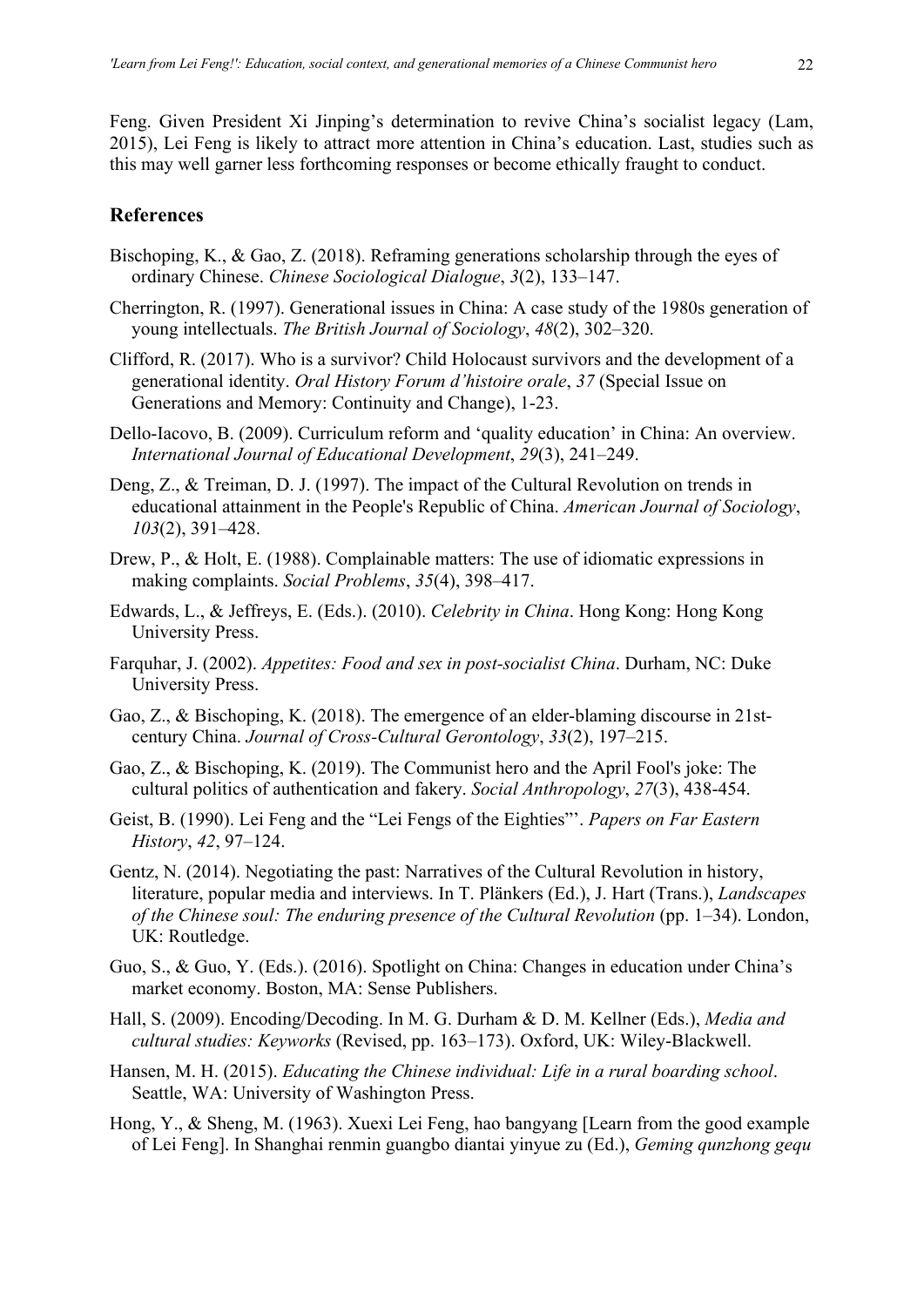Feng. Given President Xi Jinping's determination to revive China's socialist legacy (Lam, 2015), Lei Feng is likely to attract more attention in China's education. Last, studies such as this may well garner less forthcoming responses or become ethically fraught to conduct.

# **References**

- Bischoping, K., & Gao, Z. (2018). Reframing generations scholarship through the eyes of ordinary Chinese. *Chinese Sociological Dialogue*, *3*(2), 133–147.
- Cherrington, R. (1997). Generational issues in China: A case study of the 1980s generation of young intellectuals. *The British Journal of Sociology*, *48*(2), 302–320.
- Clifford, R. (2017). Who is a survivor? Child Holocaust survivors and the development of a generational identity. *Oral History Forum d'histoire orale*, *37* (Special Issue on Generations and Memory: Continuity and Change), 1-23.
- Dello-Iacovo, B. (2009). Curriculum reform and 'quality education' in China: An overview. *International Journal of Educational Development*, *29*(3), 241–249.
- Deng, Z., & Treiman, D. J. (1997). The impact of the Cultural Revolution on trends in educational attainment in the People's Republic of China. *American Journal of Sociology*, *103*(2), 391–428.
- Drew, P., & Holt, E. (1988). Complainable matters: The use of idiomatic expressions in making complaints. *Social Problems*, *35*(4), 398–417.
- Edwards, L., & Jeffreys, E. (Eds.). (2010). *Celebrity in China*. Hong Kong: Hong Kong University Press.
- Farquhar, J. (2002). *Appetites: Food and sex in post-socialist China*. Durham, NC: Duke University Press.
- Gao, Z., & Bischoping, K. (2018). The emergence of an elder-blaming discourse in 21stcentury China. *Journal of Cross-Cultural Gerontology*, *33*(2), 197–215.
- Gao, Z., & Bischoping, K. (2019). The Communist hero and the April Fool's joke: The cultural politics of authentication and fakery. *Social Anthropology*, *27*(3), 438-454.
- Geist, B. (1990). Lei Feng and the "Lei Fengs of the Eighties"'. *Papers on Far Eastern History*, *42*, 97–124.
- Gentz, N. (2014). Negotiating the past: Narratives of the Cultural Revolution in history, literature, popular media and interviews. In T. Plänkers (Ed.), J. Hart (Trans.), *Landscapes of the Chinese soul: The enduring presence of the Cultural Revolution* (pp. 1–34). London, UK: Routledge.
- Guo, S., & Guo, Y. (Eds.). (2016). Spotlight on China: Changes in education under China's market economy. Boston, MA: Sense Publishers.
- Hall, S. (2009). Encoding/Decoding. In M. G. Durham & D. M. Kellner (Eds.), *Media and cultural studies: Keyworks* (Revised, pp. 163–173). Oxford, UK: Wiley-Blackwell.
- Hansen, M. H. (2015). *Educating the Chinese individual: Life in a rural boarding school*. Seattle, WA: University of Washington Press.
- Hong, Y., & Sheng, M. (1963). Xuexi Lei Feng, hao bangyang [Learn from the good example of Lei Feng]. In Shanghai renmin guangbo diantai yinyue zu (Ed.), *Geming qunzhong gequ*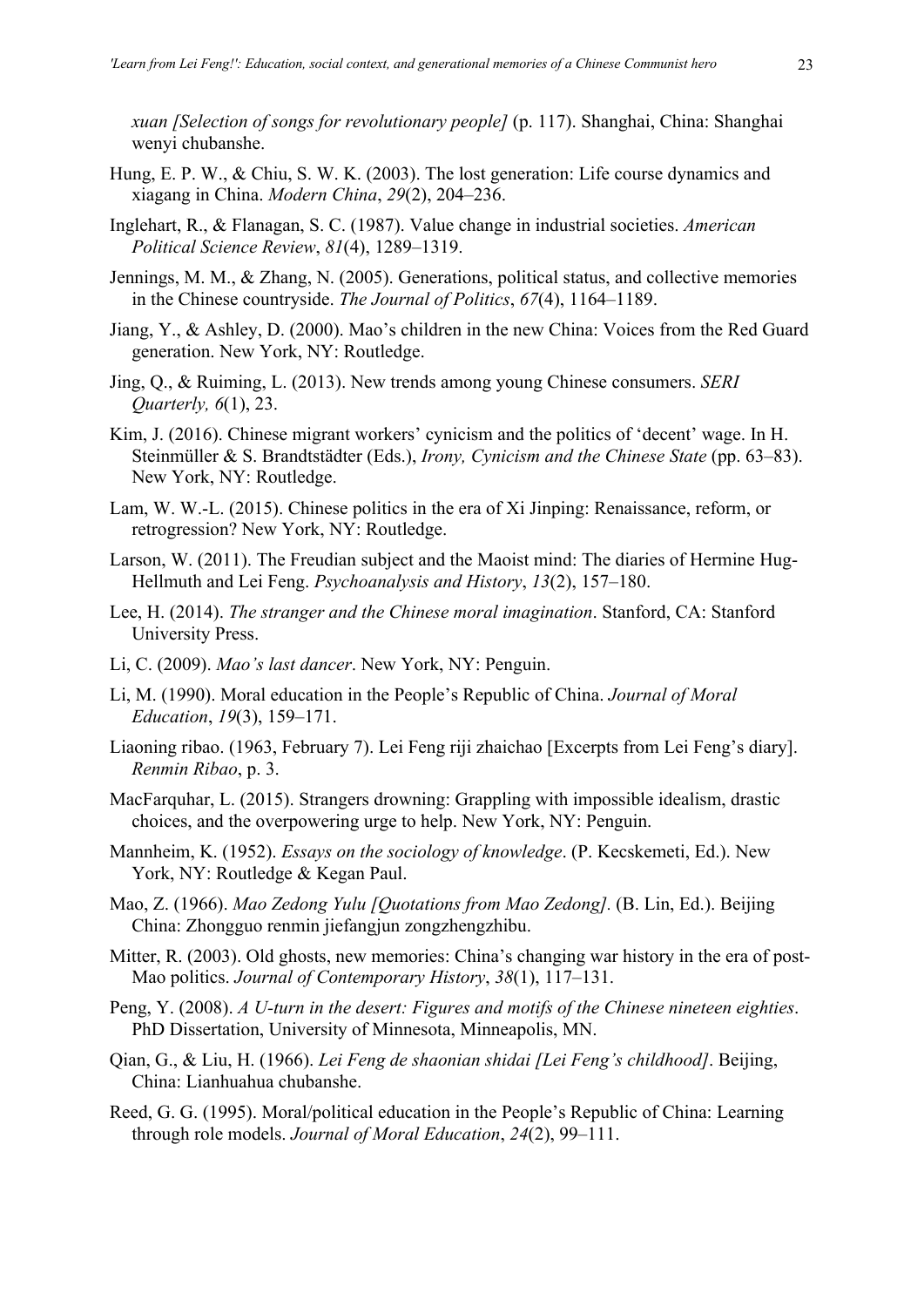*xuan [Selection of songs for revolutionary people]* (p. 117). Shanghai, China: Shanghai wenyi chubanshe.

- Hung, E. P. W., & Chiu, S. W. K. (2003). The lost generation: Life course dynamics and xiagang in China. *Modern China*, *29*(2), 204–236.
- Inglehart, R., & Flanagan, S. C. (1987). Value change in industrial societies. *American Political Science Review*, *81*(4), 1289–1319.
- Jennings, M. M., & Zhang, N. (2005). Generations, political status, and collective memories in the Chinese countryside. *The Journal of Politics*, *67*(4), 1164–1189.
- Jiang, Y., & Ashley, D. (2000). Mao's children in the new China: Voices from the Red Guard generation. New York, NY: Routledge.
- Jing, Q., & Ruiming, L. (2013). New trends among young Chinese consumers. *SERI Quarterly, 6*(1), 23.
- Kim, J. (2016). Chinese migrant workers' cynicism and the politics of 'decent' wage. In H. Steinmüller & S. Brandtstädter (Eds.), *Irony, Cynicism and the Chinese State* (pp. 63–83). New York, NY: Routledge.
- Lam, W. W.-L. (2015). Chinese politics in the era of Xi Jinping: Renaissance, reform, or retrogression? New York, NY: Routledge.
- Larson, W. (2011). The Freudian subject and the Maoist mind: The diaries of Hermine Hug-Hellmuth and Lei Feng. *Psychoanalysis and History*, *13*(2), 157–180.
- Lee, H. (2014). *The stranger and the Chinese moral imagination*. Stanford, CA: Stanford University Press.
- Li, C. (2009). *Mao's last dancer*. New York, NY: Penguin.
- Li, M. (1990). Moral education in the People's Republic of China. *Journal of Moral Education*, *19*(3), 159–171.
- Liaoning ribao. (1963, February 7). Lei Feng riji zhaichao [Excerpts from Lei Feng's diary]. *Renmin Ribao*, p. 3.
- MacFarquhar, L. (2015). Strangers drowning: Grappling with impossible idealism, drastic choices, and the overpowering urge to help. New York, NY: Penguin.
- Mannheim, K. (1952). *Essays on the sociology of knowledge*. (P. Kecskemeti, Ed.). New York, NY: Routledge & Kegan Paul.
- Mao, Z. (1966). *Mao Zedong Yulu [Quotations from Mao Zedong].* (B. Lin, Ed.). Beijing China: Zhongguo renmin jiefangjun zongzhengzhibu.
- Mitter, R. (2003). Old ghosts, new memories: China's changing war history in the era of post-Mao politics. *Journal of Contemporary History*, *38*(1), 117–131.
- Peng, Y. (2008). *A U-turn in the desert: Figures and motifs of the Chinese nineteen eighties*. PhD Dissertation, University of Minnesota, Minneapolis, MN.
- Qian, G., & Liu, H. (1966). *Lei Feng de shaonian shidai [Lei Feng's childhood]*. Beijing, China: Lianhuahua chubanshe.
- Reed, G. G. (1995). Moral/political education in the People's Republic of China: Learning through role models. *Journal of Moral Education*, *24*(2), 99–111.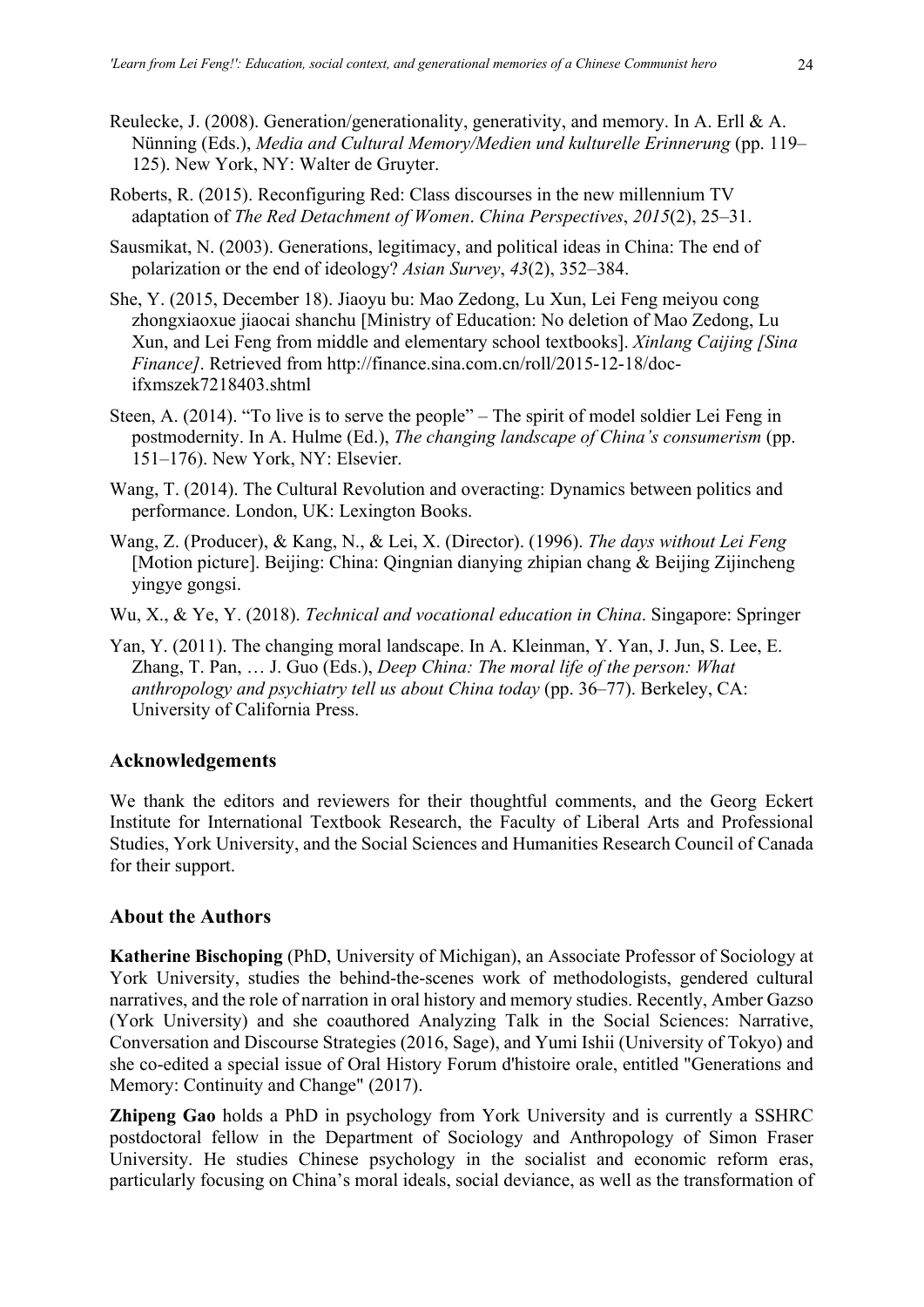- Reulecke, J. (2008). Generation/generationality, generativity, and memory. In A. Erll & A. Nünning (Eds.), *Media and Cultural Memory/Medien und kulturelle Erinnerung* (pp. 119– 125). New York, NY: Walter de Gruyter.
- Roberts, R. (2015). Reconfiguring Red: Class discourses in the new millennium TV adaptation of *The Red Detachment of Women*. *China Perspectives*, *2015*(2), 25–31.
- Sausmikat, N. (2003). Generations, legitimacy, and political ideas in China: The end of polarization or the end of ideology? *Asian Survey*, *43*(2), 352–384.
- She, Y. (2015, December 18). Jiaoyu bu: Mao Zedong, Lu Xun, Lei Feng meiyou cong zhongxiaoxue jiaocai shanchu [Ministry of Education: No deletion of Mao Zedong, Lu Xun, and Lei Feng from middle and elementary school textbooks]. *Xinlang Caijing [Sina Finance]*. Retrieved from http://finance.sina.com.cn/roll/2015-12-18/docifxmszek7218403.shtml
- Steen, A. (2014). "To live is to serve the people" The spirit of model soldier Lei Feng in postmodernity. In A. Hulme (Ed.), *The changing landscape of China's consumerism* (pp. 151–176). New York, NY: Elsevier.
- Wang, T. (2014). The Cultural Revolution and overacting: Dynamics between politics and performance. London, UK: Lexington Books.
- Wang, Z. (Producer), & Kang, N., & Lei, X. (Director). (1996). *The days without Lei Feng* [Motion picture]. Beijing: China: Qingnian dianying zhipian chang & Beijing Zijincheng yingye gongsi.
- Wu, X., & Ye, Y. (2018). *Technical and vocational education in China*. Singapore: Springer
- Yan, Y. (2011). The changing moral landscape. In A. Kleinman, Y. Yan, J. Jun, S. Lee, E. Zhang, T. Pan, … J. Guo (Eds.), *Deep China: The moral life of the person: What anthropology and psychiatry tell us about China today* (pp. 36–77). Berkeley, CA: University of California Press.

# **Acknowledgements**

We thank the editors and reviewers for their thoughtful comments, and the Georg Eckert Institute for International Textbook Research, the Faculty of Liberal Arts and Professional Studies, York University, and the Social Sciences and Humanities Research Council of Canada for their support.

#### **About the Authors**

**Katherine Bischoping** (PhD, University of Michigan), an Associate Professor of Sociology at York University, studies the behind-the-scenes work of methodologists, gendered cultural narratives, and the role of narration in oral history and memory studies. Recently, Amber Gazso (York University) and she coauthored Analyzing Talk in the Social Sciences: Narrative, Conversation and Discourse Strategies (2016, Sage), and Yumi Ishii (University of Tokyo) and she co-edited a special issue of Oral History Forum d'histoire orale, entitled "Generations and Memory: Continuity and Change" (2017).

**Zhipeng Gao** holds a PhD in psychology from York University and is currently a SSHRC postdoctoral fellow in the Department of Sociology and Anthropology of Simon Fraser University. He studies Chinese psychology in the socialist and economic reform eras, particularly focusing on China's moral ideals, social deviance, as well as the transformation of